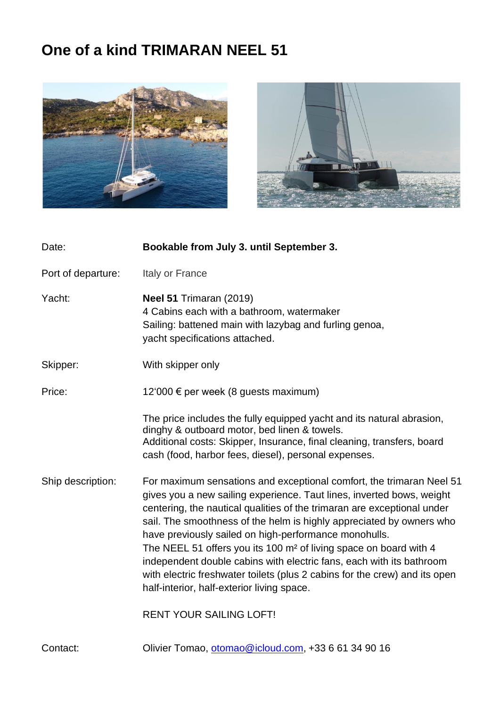## **One of a kind TRIMARAN NEEL 51**





| Date:              | Bookable from July 3. until September 3.                                                                                                                                                                                                                                                                                                                                                                                                                                                                                                                                                                                                       |
|--------------------|------------------------------------------------------------------------------------------------------------------------------------------------------------------------------------------------------------------------------------------------------------------------------------------------------------------------------------------------------------------------------------------------------------------------------------------------------------------------------------------------------------------------------------------------------------------------------------------------------------------------------------------------|
| Port of departure: | Italy or France                                                                                                                                                                                                                                                                                                                                                                                                                                                                                                                                                                                                                                |
| Yacht:             | <b>Neel 51 Trimaran (2019)</b><br>4 Cabins each with a bathroom, watermaker<br>Sailing: battened main with lazybag and furling genoa,<br>yacht specifications attached.                                                                                                                                                                                                                                                                                                                                                                                                                                                                        |
| Skipper:           | With skipper only                                                                                                                                                                                                                                                                                                                                                                                                                                                                                                                                                                                                                              |
| Price:             | 12'000 € per week (8 guests maximum)                                                                                                                                                                                                                                                                                                                                                                                                                                                                                                                                                                                                           |
|                    | The price includes the fully equipped yacht and its natural abrasion,<br>dinghy & outboard motor, bed linen & towels.<br>Additional costs: Skipper, Insurance, final cleaning, transfers, board<br>cash (food, harbor fees, diesel), personal expenses.                                                                                                                                                                                                                                                                                                                                                                                        |
| Ship description:  | For maximum sensations and exceptional comfort, the trimaran Neel 51<br>gives you a new sailing experience. Taut lines, inverted bows, weight<br>centering, the nautical qualities of the trimaran are exceptional under<br>sail. The smoothness of the helm is highly appreciated by owners who<br>have previously sailed on high-performance monohulls.<br>The NEEL 51 offers you its 100 m <sup>2</sup> of living space on board with 4<br>independent double cabins with electric fans, each with its bathroom<br>with electric freshwater toilets (plus 2 cabins for the crew) and its open<br>half-interior, half-exterior living space. |
|                    | <b>RENT YOUR SAILING LOFT!</b>                                                                                                                                                                                                                                                                                                                                                                                                                                                                                                                                                                                                                 |
| Contact:           | Olivier Tomao, otomao@icloud.com, +33 6 61 34 90 16                                                                                                                                                                                                                                                                                                                                                                                                                                                                                                                                                                                            |